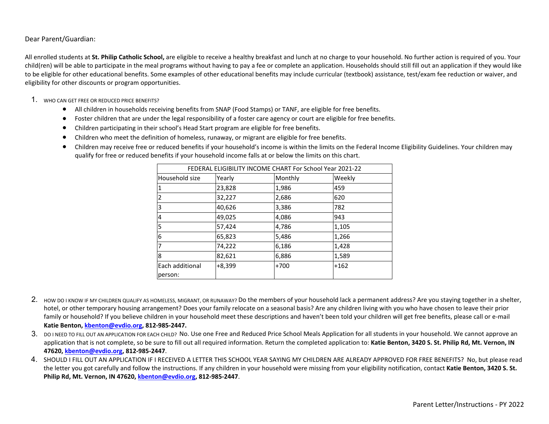Dear Parent/Guardian:

All enrolled students at **St. Philip Catholic School,** are eligible to receive a healthy breakfast and lunch at no charge to your household. No further action is required of you. Your child(ren) will be able to participate in the meal programs without having to pay a fee or complete an application. Households should still fill out an application if they would like to be eligible for other educational benefits. Some examples of other educational benefits may include curricular (textbook) assistance, test/exam fee reduction or waiver, and eligibility for other discounts or program opportunities.

- 1. WHO CAN GET FREE OR REDUCED PRICE BENEFITS?
	- All children in households receiving benefits from SNAP (Food Stamps) or TANF, are eligible for free benefits.
	- Foster children that are under the legal responsibility of a foster care agency or court are eligible for free benefits.
	- Children participating in their school's Head Start program are eligible for free benefits.
	- Children who meet the definition of homeless, runaway, or migrant are eligible for free benefits.
	- Children may receive free or reduced benefits if your household's income is within the limits on the Federal Income Eligibility Guidelines. Your children may qualify for free or reduced benefits if your household income falls at or below the limits on this chart.

| FEDERAL ELIGIBILITY INCOME CHART For School Year 2021-22 |                             |        |        |  |  |
|----------------------------------------------------------|-----------------------------|--------|--------|--|--|
| Household size                                           | Weekly<br>Yearly<br>Monthly |        |        |  |  |
| 11                                                       | 23,828                      | 1,986  | 459    |  |  |
| 12                                                       | 32,227                      | 2,686  | 620    |  |  |
| 13                                                       | 40,626                      | 3,386  | 782    |  |  |
| 14                                                       | 49,025                      | 4,086  | 943    |  |  |
| 15                                                       | 57,424                      | 4,786  | 1,105  |  |  |
| 16                                                       | 65,823                      | 5,486  | 1,266  |  |  |
| 17                                                       | 74,222                      | 6,186  | 1,428  |  |  |
| 8                                                        | 82,621                      | 6,886  | 1,589  |  |  |
| Each additional                                          | $+8,399$                    | $+700$ | $+162$ |  |  |
| person:                                                  |                             |        |        |  |  |

2. HOW DO I KNOW IF MY CHILDREN QUALIFY AS HOMELESS, MIGRANT, OR RUNAWAY? Do the members of your household lack a permanent address? Are you staying together in a shelter, hotel, or other temporary housing arrangement? Does your family relocate on a seasonal basis? Are any children living with you who have chosen to leave their prior family or household? If you believe children in your household meet these descriptions and haven't been told your children will get free benefits, please call or e-mail **Katie Benton, [kbenton@evdio.org](mailto:kbenton@evdio.org), 812-985-2447.**

- 3. DO INEED TO FILL OUT AN APPLICATION FOR EACH CHILD? No. Use one Free and Reduced Price School Meals Application for all students in your household. We cannot approve an application that is not complete, so be sure to fill out all required information. Return the completed application to: Katie Benton, 3420 S. St. Philip Rd, Mt. Vernon, IN **47620, [kbenton@evdio.org,](mailto:kbenton@evdio.org) 812-985-2447**.
- 4. SHOULD I FILL OUT AN APPLICATION IF I RECEIVED A LETTER THIS SCHOOL YEAR SAYING MY CHILDREN ARE ALREADY APPROVED FOR FREE BENEFITS? No, but please read the letter you got carefully and follow the instructions. If any children in your household were missing from your eligibility notification, contact **Katie Benton, 3420 S. St. Philip Rd, Mt. Vernon, IN 47620, [kbenton@evdio.org,](mailto:kbenton@evdio.org) 812-985-2447**.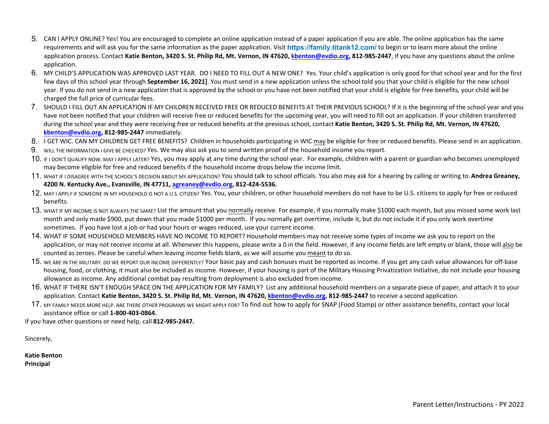- 5. CAN I APPLY ONLINE? Yes! You are encouraged to complete an online application instead of a paper application if you are able. The online application has the same requirements and will ask you for the same information as the paper application. Visit **https://family.titank12.com/** to begin or to learn more about the online application process. Contact **Katie Benton, 3420 S. St. Philip Rd, Mt. Vernon, IN 47620, [kbenton@evdio.org](mailto:kbenton@evdio.org), 812-985-2447**, if you have any questions about the online application.
- 6. MY CHILD'S APPLICATION WAS APPROVED LAST YEAR. DO I NEED TO FILL OUT A NEW ONE? Yes. Your child's application is only good for that school year and for the first few days of this school year through **September 16, 2021]**. You must send in a new application unless the school told you that your child is eligible for the new school year. If you do not send in a new application that is approved by the school or you have not been notified that your child is eligible for free benefits, your child will be charged the full price of curricular fees.
- 7. SHOULD I FILL OUT AN APPLICATION IF MY CHILDREN RECEIVED FREE OR REDUCED BENEFITS AT THEIR PREVIOUS SCHOOL? If it is the beginning of the school year and you have not been notified that your children will receive free or reduced benefits for the upcoming year, you will need to fill out an application. If your children transferred during the school year and they were receiving free or reduced benefits at the previous school, contact **Katie Benton, 3420 S. St. Philip Rd, Mt. Vernon, IN 47620, [kbenton@evdio.org](mailto:kbenton@evdio.org), 812-985-2447** immediately.
- 8. I GET WIC. CAN MY CHILDREN GET FREE BENEFITS? Children in households participating in WIC may be eligible for free or reduced benefits. Please send in an application.
- 9. WILL THE INFORMATION I GIVE BE CHECKED? Yes. We may also ask you to send written proof of the household income you report.
- 10. IF I DON'T QUALIFY NOW, MAY I APPLY LATER? Yes, you may apply at any time during the school year. For example, children with a parent or guardian who becomes unemployed may become eligible for free and reduced benefits if the household income drops below the income limit.
- 11. WHAT IF I DISAGREE WITH THE SCHOOL'S DECISION ABOUT MY APPLICATION? You should talk to school officials. You also may ask for a hearing by calling or writing to: **Andrea Greaney, 4200 N. Kentucky Ave., Evansville, IN 47711, [agreaney@evdio.org](mailto:agreaney@evdio.org), 812-424-5536.**
- 12. MAY I APPLY IF SOMEONE IN MY HOUSEHOLD IS NOT A U.S. CITIZEN? Yes. You, your children, or other household members do not have to be U.S. citizens to apply for free or reduced benefits.
- 13. WHAT IF MY INCOME IS NOT ALWAYS THE SAME? List the amount that you normally receive. For example, if you normally make \$1000 each month, but you missed some work last month and only made \$900, put down that you made \$1000 per month. If you normally get overtime, include it, but do not include it if you only work overtime sometimes. If you have lost a job or had your hours or wages reduced, use your current income.
- 14. WHAT IF SOME HOUSEHOLD MEMBERS HAVE NO INCOME TO REPORT? Household members may not receive some types of income we ask you to report on the application, or may not receive income at all. Whenever this happens, please write a 0 in the field. However, if any income fields are left empty or blank, those will also be counted as zeroes. Please be careful when leaving income fields blank, as we will assume you meant to do so.
- 15. WE ARE IN THE MILITARY. DO WE REPORT OUR INCOME DIFFERENTLY? Your basic pay and cash bonuses must be reported as income. If you get any cash value allowances for off-base housing, food, or clothing, it must also be included as income. However, if your housing is part of the Military Housing Privatization Initiative, do not include your housing allowance as income. Any additional combat pay resulting from deployment is also excluded from income.
- 16. WHAT IF THERE ISN'T ENOUGH SPACE ON THE APPLICATION FOR MY FAMILY? List any additional household members on a separate piece of paper, and attach it to your application. Contact **Katie Benton, 3420 S. St. Philip Rd, Mt. Vernon, IN 47620, [kbenton@evdio.org,](mailto:kbenton@evdio.org) 812-985-2447** to receive a second application.
- 17. MY FAMILY NEEDS MORE HELP. ARE THERE OTHER PROGRAMS WE MIGHT APPLY FOR? To find out how to apply for SNAP (Food Stamp) or other assistance benefits, contact your local assistance office or call **1-800-403-0864.**

If you have other questions or need help, call **812-985-2447.**

Sincerely,

**Katie Benton Principal**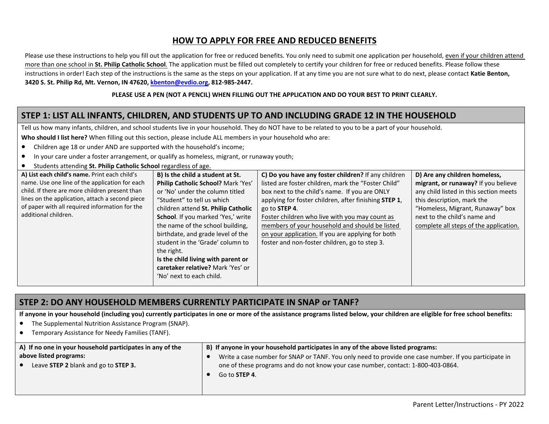## **HOW TO APPLY FOR FREE AND REDUCED BENEFITS**

Please use these instructions to help you fill out the application for free or reduced benefits. You only need to submit one application per household, even if your children attend more than one school in **St. Philip Catholic School**. The application must be filled out completely to certify your children for free or reduced benefits. Please follow these instructions in order! Each step of the instructions is the same as the steps on your application. If at any time you are not sure what to do next, please contact **Katie Benton, 3420 S. St. Philip Rd, Mt. Vernon, IN 47620, [kbenton@evdio.org](mailto:kbenton@evdio.org), 812-985-2447.**

#### **PLEASE USE A PEN (NOT A PENCIL) WHEN FILLING OUT THE APPLICATION AND DO YOUR BEST TO PRINT CLEARLY.**

## **STEP 1: LIST ALL INFANTS, CHILDREN, AND STUDENTS UP TO AND INCLUDING GRADE 12 IN THE HOUSEHOLD**

Tell us how many infants, children, and school students live in your household. They do NOT have to be related to you to be a part of your household.

**Who should I list here?** When filling out this section, please include ALL members in your household who are:

- Children age 18 or under AND are supported with the household's income;
- In your care under a foster arrangement, or qualify as homeless, migrant, or runaway youth;
- Students attending **St. Philin Catholic School** regardless of age.

| $\frac{1}{2}$                                   |                                     |                                                       |                                        |  |
|-------------------------------------------------|-------------------------------------|-------------------------------------------------------|----------------------------------------|--|
| A) List each child's name. Print each child's   | B) Is the child a student at St.    | C) Do you have any foster children? If any children   | D) Are any children homeless,          |  |
| name. Use one line of the application for each  | Philip Catholic School? Mark 'Yes'  | listed are foster children, mark the "Foster Child"   | migrant, or runaway? If you believe    |  |
| child. If there are more children present than  | or 'No' under the column titled     | box next to the child's name. If you are ONLY         | any child listed in this section meets |  |
| lines on the application, attach a second piece | "Student" to tell us which          | applying for foster children, after finishing STEP 1, | this description, mark the             |  |
| of paper with all required information for the  | children attend St. Philip Catholic | go to STEP 4.                                         | "Homeless, Migrant, Runaway" box       |  |
| additional children.                            | School. If you marked 'Yes,' write  | Foster children who live with you may count as        | next to the child's name and           |  |
|                                                 | the name of the school building,    | members of your household and should be listed        | complete all steps of the application. |  |
|                                                 | birthdate, and grade level of the   | on your application. If you are applying for both     |                                        |  |
|                                                 | student in the 'Grade' column to    | foster and non-foster children, go to step 3.         |                                        |  |
|                                                 | the right.                          |                                                       |                                        |  |
|                                                 | Is the child living with parent or  |                                                       |                                        |  |
|                                                 | caretaker relative? Mark 'Yes' or   |                                                       |                                        |  |
|                                                 | 'No' next to each child.            |                                                       |                                        |  |
|                                                 |                                     |                                                       |                                        |  |

### **STEP 2: DO ANY HOUSEHOLD MEMBERS CURRENTLY PARTICIPATE IN SNAP or TANF?**

**If anyone in your household (including you) currently participates in one or more of the assistance programs listed below, your children are eligible for free school benefits:**

- The Supplemental Nutrition Assistance Program (SNAP).
- Temporary Assistance for Needy Families (TANF).

| A) If no one in your household participates in any of the | B) If anyone in your household participates in any of the above listed programs:                      |  |
|-----------------------------------------------------------|-------------------------------------------------------------------------------------------------------|--|
| above listed programs:                                    | Write a case number for SNAP or TANF. You only need to provide one case number. If you participate in |  |
| Leave STEP 2 blank and go to STEP 3.                      | one of these programs and do not know your case number, contact: 1-800-403-0864.                      |  |
|                                                           | Go to <b>STEP 4</b> .                                                                                 |  |
|                                                           |                                                                                                       |  |

Parent Letter/Instructions - PY 2022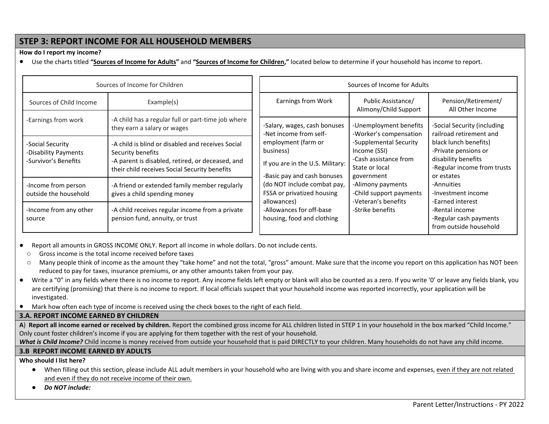### **STEP 3: REPORT INCOME FOR ALL HOUSEHOLD MEMBERS**

#### **How do I report my income?**

● Use the charts titled **"Sources of Income for Adults"** and **"Sources of Income for Children,"** located below to determine if your household has income to report.

| Sources of Income for Children                                   |                                                                                                                                                                             | Sources of Income for Adults                                                                        |                                                                                                 |                                                                                                                   |
|------------------------------------------------------------------|-----------------------------------------------------------------------------------------------------------------------------------------------------------------------------|-----------------------------------------------------------------------------------------------------|-------------------------------------------------------------------------------------------------|-------------------------------------------------------------------------------------------------------------------|
| Sources of Child Income                                          | Example(s)                                                                                                                                                                  | Earnings from Work                                                                                  | Public Assistance/<br>Alimony/Child Support                                                     | Pension/Retirement/<br>All Other Income                                                                           |
| -Earnings from work                                              | -A child has a regular full or part-time job where<br>they earn a salary or wages                                                                                           | -Salary, wages, cash bonuses<br>-Net income from self-                                              | -Unemployment benefits<br>-Worker's compensation                                                | -Social Security (including<br>railroad retirement and                                                            |
| -Social Security<br>-Disability Payments<br>-Survivor's Benefits | -A child is blind or disabled and receives Social<br>Security benefits<br>-A parent is disabled, retired, or deceased, and<br>their child receives Social Security benefits | employment (farm or<br>business)<br>If you are in the U.S. Military:<br>-Basic pay and cash bonuses | -Supplemental Security<br>Income (SSI)<br>-Cash assistance from<br>State or local<br>government | black lunch benefits)<br>-Private pensions or<br>disability benefits<br>-Regular income from trusts<br>or estates |
| -Income from person<br>outside the household                     | -A friend or extended family member regularly<br>gives a child spending money                                                                                               | (do NOT include combat pay,<br>FSSA or privatized housing<br>allowances)                            | -Alimony payments<br>-Child support payments<br>-Veteran's benefits                             | -Annuities<br>-Investment income<br>-Earned interest                                                              |
| -Income from any other<br>source                                 | -A child receives regular income from a private<br>pension fund, annuity, or trust                                                                                          | -Allowances for off-base<br>housing, food and clothing                                              | -Strike benefits                                                                                | -Rental income<br>-Regular cash payments<br>from outside household                                                |

Report all amounts in GROSS INCOME ONLY. Report all income in whole dollars. Do not include cents.

o Gross income is the total income received before taxes

- o Many people think of income as the amount they "take home" and not the total, "gross" amount. Make sure that the income you report on this application has NOT been reduced to pay for taxes, insurance premiums, or any other amounts taken from your pay.
- Write a "0" in any fields where there is no income to report. Any income fields left empty or blank will also be counted as a zero. If you write '0' or leave any fields blank, you are certifying (promising) that there is no income to report. If local officials suspect that your household income was reported incorrectly, your application will be investigated.
- Mark how often each type of income is received using the check boxes to the right of each field.

### **3.A. REPORT INCOME EARNED BY CHILDREN**

**A**) **Report all income earned or received by children.** Report the combined gross income for ALL children listed in STEP 1 in your household in the box marked "Child Income." Only count foster children's income if you are applying for them together with the rest of your household.

What is Child Income? Child income is money received from outside your household that is paid DIRECTLY to your children. Many households do not have any child income.

### **3.B REPORT INCOME EARNED BY ADULTS**

**Who should I list here?**

- When filling out this section, please include ALL adult members in your household who are living with you and share income and expenses, even if they are not related and even if they do not receive income of their own.
- *Do NOT include:*